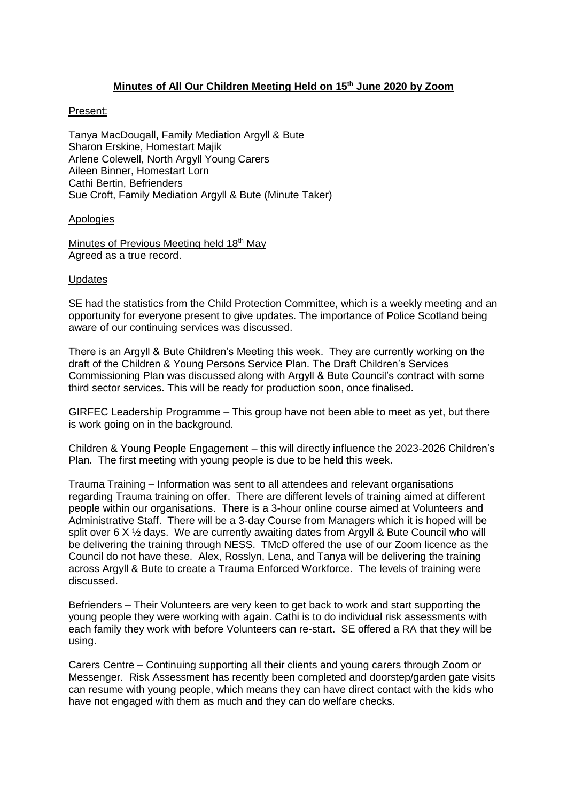# **Minutes of All Our Children Meeting Held on 15 th June 2020 by Zoom**

# Present:

Tanya MacDougall, Family Mediation Argyll & Bute Sharon Erskine, Homestart Majik Arlene Colewell, North Argyll Young Carers Aileen Binner, Homestart Lorn Cathi Bertin, Befrienders Sue Croft, Family Mediation Argyll & Bute (Minute Taker)

# Apologies

Minutes of Previous Meeting held 18<sup>th</sup> May Agreed as a true record.

### **Updates**

SE had the statistics from the Child Protection Committee, which is a weekly meeting and an opportunity for everyone present to give updates. The importance of Police Scotland being aware of our continuing services was discussed.

There is an Argyll & Bute Children's Meeting this week. They are currently working on the draft of the Children & Young Persons Service Plan. The Draft Children's Services Commissioning Plan was discussed along with Argyll & Bute Council's contract with some third sector services. This will be ready for production soon, once finalised.

GIRFEC Leadership Programme – This group have not been able to meet as yet, but there is work going on in the background.

Children & Young People Engagement – this will directly influence the 2023-2026 Children's Plan. The first meeting with young people is due to be held this week.

Trauma Training – Information was sent to all attendees and relevant organisations regarding Trauma training on offer. There are different levels of training aimed at different people within our organisations. There is a 3-hour online course aimed at Volunteers and Administrative Staff. There will be a 3-day Course from Managers which it is hoped will be split over 6 X  $\frac{1}{2}$  days. We are currently awaiting dates from Argyll & Bute Council who will be delivering the training through NESS. TMcD offered the use of our Zoom licence as the Council do not have these. Alex, Rosslyn, Lena, and Tanya will be delivering the training across Argyll & Bute to create a Trauma Enforced Workforce. The levels of training were discussed.

Befrienders – Their Volunteers are very keen to get back to work and start supporting the young people they were working with again. Cathi is to do individual risk assessments with each family they work with before Volunteers can re-start. SE offered a RA that they will be using.

Carers Centre – Continuing supporting all their clients and young carers through Zoom or Messenger. Risk Assessment has recently been completed and doorstep/garden gate visits can resume with young people, which means they can have direct contact with the kids who have not engaged with them as much and they can do welfare checks.